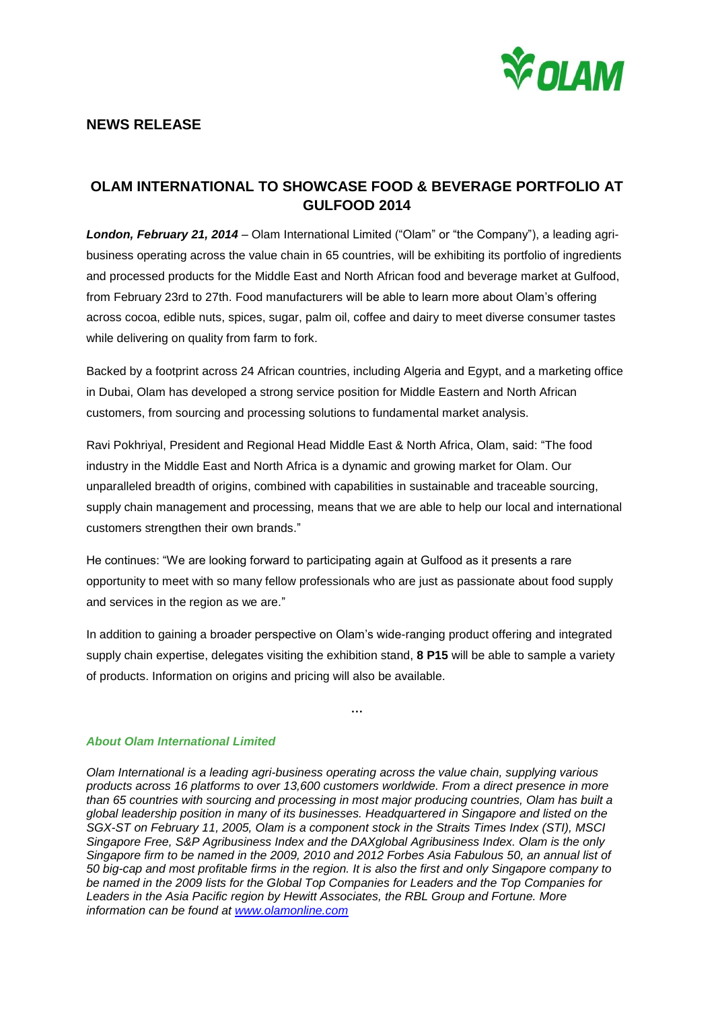

## **NEWS RELEASE**

## **OLAM INTERNATIONAL TO SHOWCASE FOOD & BEVERAGE PORTFOLIO AT GULFOOD 2014**

*London, February 21, 2014 –* Olam International Limited ("Olam" or "the Company"), a leading agribusiness operating across the value chain in 65 countries, will be exhibiting its portfolio of ingredients and processed products for the Middle East and North African food and beverage market at Gulfood, from February 23rd to 27th. Food manufacturers will be able to learn more about Olam's offering across cocoa, edible nuts, spices, sugar, palm oil, coffee and dairy to meet diverse consumer tastes while delivering on quality from farm to fork.

Backed by a footprint across 24 African countries, including Algeria and Egypt, and a marketing office in Dubai, Olam has developed a strong service position for Middle Eastern and North African customers, from sourcing and processing solutions to fundamental market analysis.

Ravi Pokhriyal, President and Regional Head Middle East & North Africa, Olam, said: "The food industry in the Middle East and North Africa is a dynamic and growing market for Olam. Our unparalleled breadth of origins, combined with capabilities in sustainable and traceable sourcing, supply chain management and processing, means that we are able to help our local and international customers strengthen their own brands."

He continues: "We are looking forward to participating again at Gulfood as it presents a rare opportunity to meet with so many fellow professionals who are just as passionate about food supply and services in the region as we are."

In addition to gaining a broader perspective on Olam's wide-ranging product offering and integrated supply chain expertise, delegates visiting the exhibition stand, **8 P15** will be able to sample a variety of products. Information on origins and pricing will also be available.

**…**

*About Olam International Limited*

*Olam International is a leading agri-business operating across the value chain, supplying various products across 16 platforms to over 13,600 customers worldwide. From a direct presence in more than 65 countries with sourcing and processing in most major producing countries, Olam has built a global leadership position in many of its businesses. Headquartered in Singapore and listed on the SGX-ST on February 11, 2005, Olam is a component stock in the Straits Times Index (STI), MSCI Singapore Free, S&P Agribusiness Index and the DAXglobal Agribusiness Index. Olam is the only* Singapore firm to be named in the 2009, 2010 and 2012 Forbes Asia Fabulous 50, an annual list of 50 big-cap and most profitable firms in the region. It is also the first and only Singapore company to *be named in the 2009 lists for the Global Top Companies for Leaders and the Top Companies for Leaders in the Asia Pacific region by Hewitt Associates, the RBL Group and Fortune. More information can be found at [www.olamonline.com](http://www.olamonline.com/)*